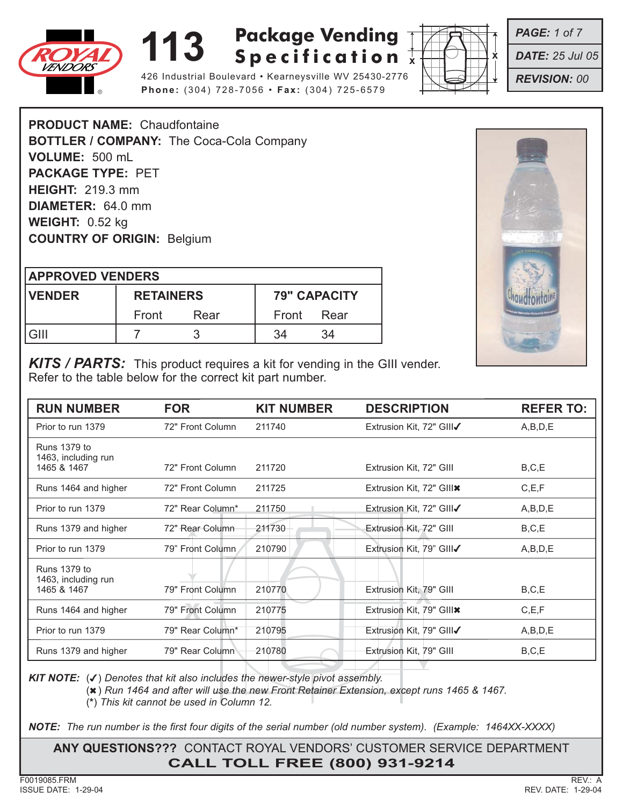



**Phone:** (304) 728-7056 • **Fax:** (304) 725-6579

*PAGE: 1 of 7*

*DATE: 25 Jul 05*

*REVISION: 00*

**PRODUCT NAME:** Chaudfontaine **BOTTLER / COMPANY:** The Coca-Cola Company **VOLUME:** 500 mL **PACKAGE TYPE:** PET **HEIGHT:** 219.3 mm **DIAMETER:** 64.0 mm **WEIGHT:** 0.52 kg **COUNTRY OF ORIGIN:** Belgium

| <b>APPROVED VENDERS</b> |                  |      |            |                     |  |  |
|-------------------------|------------------|------|------------|---------------------|--|--|
| <b>IVENDER</b>          | <b>RETAINERS</b> |      |            | <b>79" CAPACITY</b> |  |  |
|                         | Front            | Rear | Front Rear |                     |  |  |
| l GIII                  |                  |      | 34         | 34                  |  |  |



*KITS / PARTS:* This product requires a kit for vending in the GIII vender. Refer to the table below for the correct kit part number.

| <b>RUN NUMBER</b>                                         | <b>FOR</b>       | <b>KIT NUMBER</b> | <b>DESCRIPTION</b>       | <b>REFER TO:</b> |
|-----------------------------------------------------------|------------------|-------------------|--------------------------|------------------|
| Prior to run 1379                                         | 72" Front Column | 211740            | Extrusion Kit, 72" GIII√ | A,B,D,E          |
| <b>Runs 1379 to</b><br>1463, including run<br>1465 & 1467 | 72" Front Column | 211720            | Extrusion Kit, 72" GIII  | B, C, E          |
| Runs 1464 and higher                                      | 72" Front Column | 211725            | Extrusion Kit, 72" GIII* | C, E, F          |
| Prior to run 1379                                         | 72" Rear Column* | 211750            | Extrusion Kit, 72" GIII√ | A,B,D,E          |
| Runs 1379 and higher                                      | 72" Rear Column  | 211730            | Extrusion Kit, 72" GIII  | B, C, E          |
| Prior to run 1379                                         | 79" Front Column | 210790            | Extrusion Kit, 79" GIII√ | A,B,D,E          |
| Runs 1379 to<br>1463, including run                       |                  |                   |                          |                  |
| 1465 & 1467                                               | 79" Front Column | 210770            | Extrusion Kit, 79" GIII  | B, C, E          |
| Runs 1464 and higher                                      | 79" Front Column | 210775            | Extrusion Kit, 79" GIII* | C, E, F          |
| Prior to run 1379                                         | 79" Rear Column* | 210795            | Extrusion Kit, 79" GIII√ | A,B,D,E          |
| Runs 1379 and higher                                      | 79" Rear Column  | 210780            | Extrusion Kit, 79" GIII  | B, C, E          |

*KIT NOTE:* (✔) *Denotes that kit also includes the newer-style pivot assembly.*

(✖) *Run 1464 and after will use the new Front Retainer Extension, except runs 1465 & 1467.*

(**\***) *This kit cannot be used in Column 12.*

*NOTE: The run number is the first four digits of the serial number (old number system). (Example: 1464XX-XXXX)*

**ANY QUESTIONS???** CONTACT ROYAL VENDORS' CUSTOMER SERVICE DEPARTMENT **CALL TOLL FREE (800) 931-9214**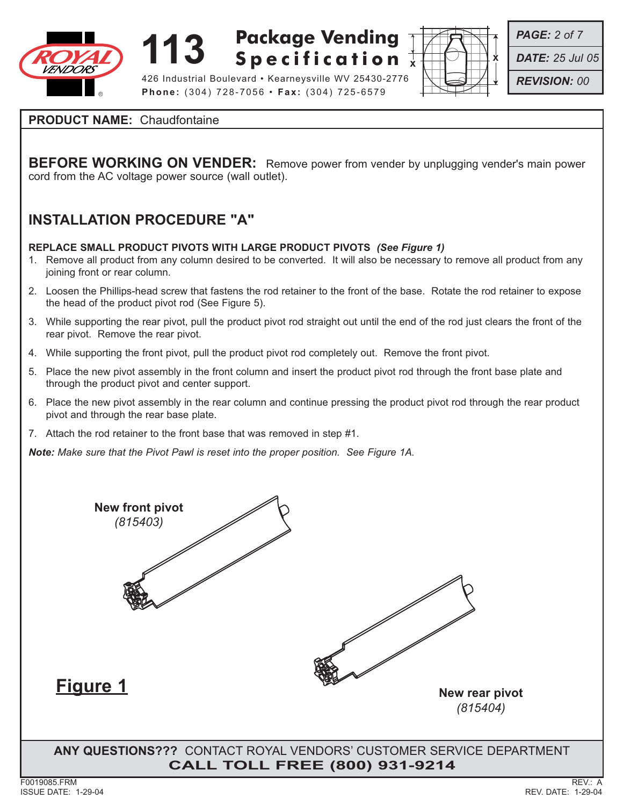

426 Industrial Boulevard • Kearneysville WV 25430-2776 **Phone:** (304) 728-7056 • **Fax:** (304) 725-6579



*PAGE: 2 of 7*

*DATE: 25 Jul 05*

*REVISION: 00*

### **PRODUCT NAME:** Chaudfontaine

**BEFORE WORKING ON VENDER:** Remove power from vender by unplugging vender's main power cord from the AC voltage power source (wall outlet).

## **INSTALLATION PROCEDURE "A"**

#### **REPLACE SMALL PRODUCT PIVOTS WITH LARGE PRODUCT PIVOTS** *(See Figure 1)*

- 1. Remove all product from any column desired to be converted. It will also be necessary to remove all product from any joining front or rear column.
- 2. Loosen the Phillips-head screw that fastens the rod retainer to the front of the base. Rotate the rod retainer to expose the head of the product pivot rod (See Figure 5).
- 3. While supporting the rear pivot, pull the product pivot rod straight out until the end of the rod just clears the front of the rear pivot. Remove the rear pivot.
- 4. While supporting the front pivot, pull the product pivot rod completely out. Remove the front pivot.
- 5. Place the new pivot assembly in the front column and insert the product pivot rod through the front base plate and through the product pivot and center support.
- 6. Place the new pivot assembly in the rear column and continue pressing the product pivot rod through the rear product pivot and through the rear base plate.
- 7. Attach the rod retainer to the front base that was removed in step #1.

*Note: Make sure that the Pivot Pawl is reset into the proper position. See Figure 1A.*

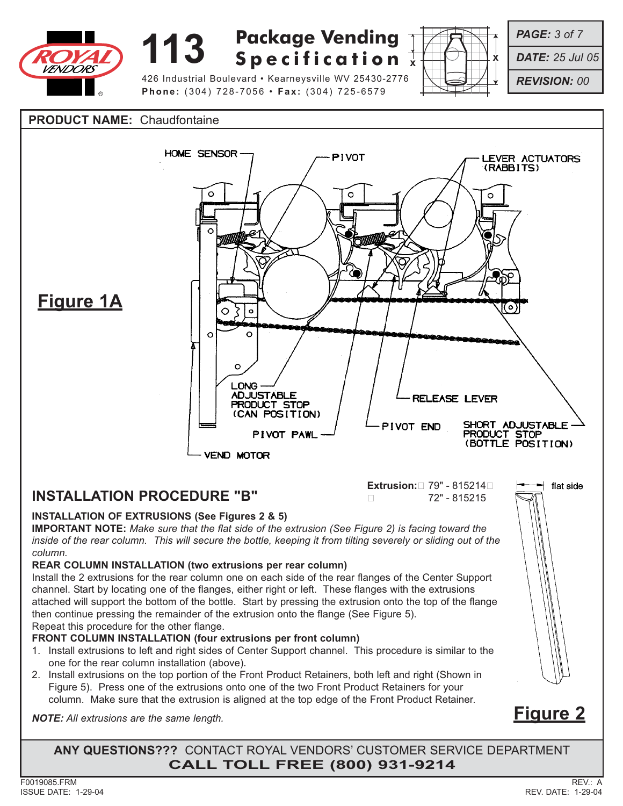

426 Industrial Boulevard • Kearneysville WV 25430-2776 **Phone:** (304) 728-7056 • **Fax:** (304) 725-6579



*PAGE: 3 of 7*

*DATE: 25 Jul 05*

*REVISION: 00*

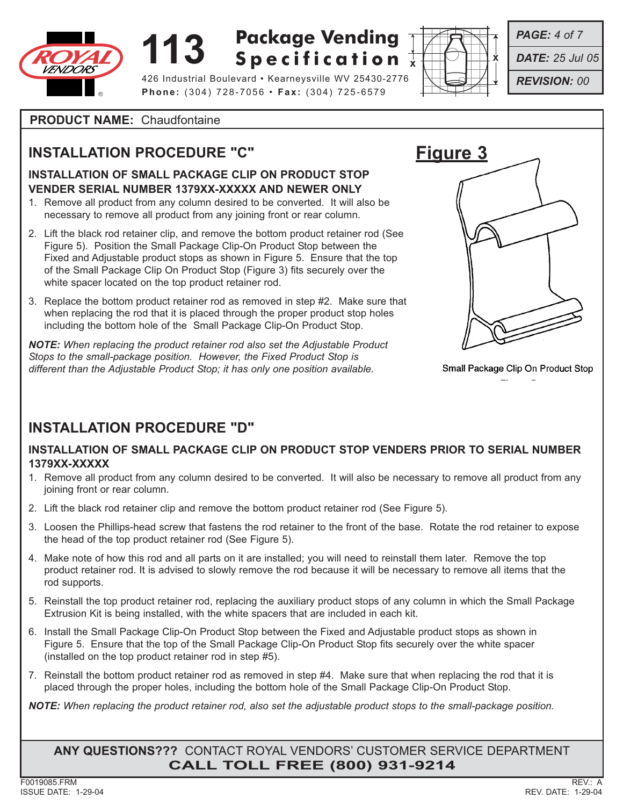

# **113 Specification**  $\frac{1}{x}$ **Specification**

426 Industrial Boulevard • Kearneysville WV 25430-2776 **Phone:** (304) 728-7056 • **Fax:** (304) 725-6579



*PAGE: 4 of 7*

- *DATE: 25 Jul 05*
- *REVISION: 00*

**PRODUCT NAME:** Chaudfontaine

## **INSTALLATION PROCEDURE "C"**

#### **INSTALLATION OF SMALL PACKAGE CLIP ON PRODUCT STOP VENDER SERIAL NUMBER 1379XX-XXXXX AND NEWER ONLY**

- 1. Remove all product from any column desired to be converted. It will also be necessary to remove all product from any joining front or rear column.
- 2. Lift the black rod retainer clip, and remove the bottom product retainer rod (See Figure 5). Position the Small Package Clip-On Product Stop between the Fixed and Adjustable product stops as shown in Figure 5. Ensure that the top of the Small Package Clip On Product Stop (Figure 3) fits securely over the white spacer located on the top product retainer rod.
- 3. Replace the bottom product retainer rod as removed in step #2. Make sure that when replacing the rod that it is placed through the proper product stop holes including the bottom hole of the Small Package Clip-On Product Stop.

*NOTE: When replacing the product retainer rod also set the Adjustable Product Stops to the small-package position. However, the Fixed Product Stop is different than the Adjustable Product Stop; it has only one position available.*



Small Package Clip On Product Stop

## **INSTALLATION PROCEDURE "D"**

### **INSTALLATION OF SMALL PACKAGE CLIP ON PRODUCT STOP VENDERS PRIOR TO SERIAL NUMBER 1379XX-XXXXX**

- 1. Remove all product from any column desired to be converted. It will also be necessary to remove all product from any joining front or rear column.
- 2. Lift the black rod retainer clip and remove the bottom product retainer rod (See Figure 5).
- 3. Loosen the Phillips-head screw that fastens the rod retainer to the front of the base. Rotate the rod retainer to expose the head of the top product retainer rod (See Figure 5).
- 4. Make note of how this rod and all parts on it are installed; you will need to reinstall them later. Remove the top product retainer rod. It is advised to slowly remove the rod because it will be necessary to remove all items that the rod supports.
- 5. Reinstall the top product retainer rod, replacing the auxiliary product stops of any column in which the Small Package Extrusion Kit is being installed, with the white spacers that are included in each kit.
- 6. Install the Small Package Clip-On Product Stop between the Fixed and Adjustable product stops as shown in Figure 5. Ensure that the top of the Small Package Clip-On Product Stop fits securely over the white spacer (installed on the top product retainer rod in step #5).
- 7. Reinstall the bottom product retainer rod as removed in step #4. Make sure that when replacing the rod that it is placed through the proper holes, including the bottom hole of the Small Package Clip-On Product Stop.

*NOTE: When replacing the product retainer rod, also set the adjustable product stops to the small-package position.*

**ANY QUESTIONS???** CONTACT ROYAL VENDORS' CUSTOMER SERVICE DEPARTMENT **CALL TOLL FREE (800) 931-9214**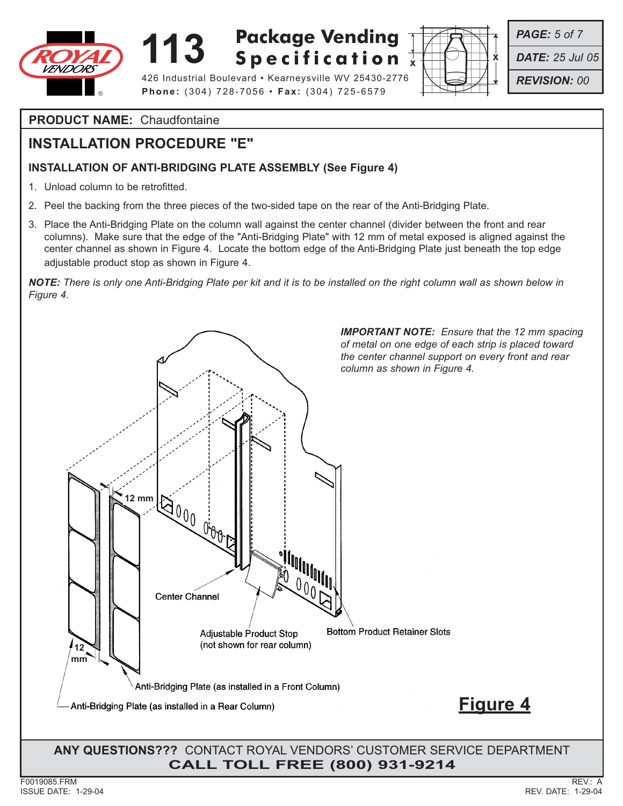

426 Industrial Boulevard • Kearneysville WV 25430-2776 **Phone:** (304) 728-7056 • **Fax:** (304) 725-6579

*PAGE: 5 of 7*

*DATE: 25 Jul 05*

*REVISION: 00*

**PRODUCT NAME:** Chaudfontaine

## **INSTALLATION PROCEDURE "E"**

### **INSTALLATION OF ANTI-BRIDGING PLATE ASSEMBLY (See Figure 4)**

- 1. Unload column to be retrofitted.
- 2. Peel the backing from the three pieces of the two-sided tape on the rear of the Anti-Bridging Plate.
- 3. Place the Anti-Bridging Plate on the column wall against the center channel (divider between the front and rear columns). Make sure that the edge of the "Anti-Bridging Plate" with 12 mm of metal exposed is aligned against the center channel as shown in Figure 4. Locate the bottom edge of the Anti-Bridging Plate just beneath the top edge adjustable product stop as shown in Figure 4.

*NOTE: There is only one Anti-Bridging Plate per kit and it is to be installed on the right column wall as shown below in Figure 4.*

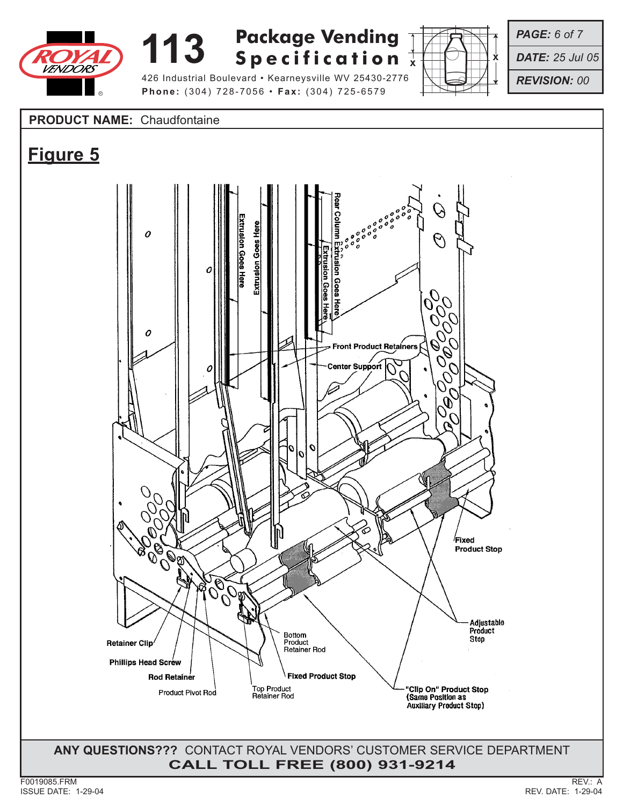

**Phone:** (304) 728-7056 • **Fax:** (304) 725-6579



*PAGE: 6 of 7*

*DATE: 25 Jul 05*

*REVISION: 00*